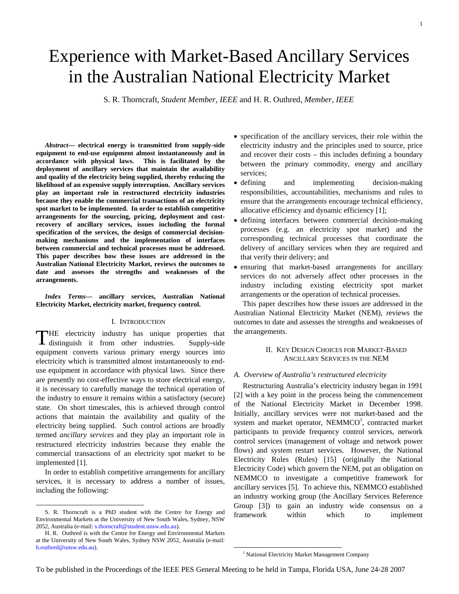# Experience with Market-Based Ancillary Services in the Australian National Electricity Market

S. R. Thorncraft, *Student Member, IEEE* and H. R. Outhred, *Member, IEEE*

*Abstract***— electrical energy is transmitted from supply-side equipment to end-use equipment almost instantaneously and in accordance with physical laws. This is facilitated by the deployment of ancillary services that maintain the availability and quality of the electricity being supplied, thereby reducing the likelihood of an expensive supply interruption. Ancillary services play an important role in restructured electricity industries because they enable the commercial transactions of an electricity spot market to be implemented. In order to establish competitive arrangements for the sourcing, pricing, deployment and costrecovery of ancillary services, issues including the formal specification of the services, the design of commercial decisionmaking mechanisms and the implementation of interfaces between commercial and technical processes must be addressed. This paper describes how these issues are addressed in the Australian National Electricity Market, reviews the outcomes to date and assesses the strengths and weaknesses of the arrangements.** 

*Index Terms***— ancillary services, Australian National Electricity Market, electricity market, frequency control.** 

# I. INTRODUCTION

HE electricity industry has unique properties that THE electricity industry has unique properties that distinguish it from other industries. Supply-side equipment converts various primary energy sources into electricity which is transmitted almost instantaneously to enduse equipment in accordance with physical laws. Since there are presently no cost-effective ways to store electrical energy, it is necessary to carefully manage the technical operation of the industry to ensure it remains within a satisfactory (secure) state. On short timescales, this is achieved through control actions that maintain the availability and quality of the electricity being supplied. Such control actions are broadly termed *ancillary services* and they play an important role in restructured electricity industries because they enable the commercial transactions of an electricity spot market to be implemented [1].

In order to establish competitive arrangements for ancillary services, it is necessary to address a number of issues, including the following:

- specification of the ancillary services, their role within the electricity industry and the principles used to source, price and recover their costs – this includes defining a boundary between the primary commodity, energy and ancillary services;
- defining and implementing decision-making responsibilities, accountabilities, mechanisms and rules to ensure that the arrangements encourage technical efficiency, allocative efficiency and dynamic efficiency [1];
- defining interfaces between commercial decision-making processes (e.g. an electricity spot market) and the corresponding technical processes that coordinate the delivery of ancillary services when they are required and that verify their delivery; and
- ensuring that market-based arrangements for ancillary services do not adversely affect other processes in the industry including existing electricity spot market arrangements or the operation of technical processes.

This paper describes how these issues are addressed in the Australian National Electricity Market (NEM), reviews the outcomes to date and assesses the strengths and weaknesses of the arrangements.

## II. KEY DESIGN CHOICES FOR MARKET-BASED ANCILLARY SERVICES IN THE NEM

## *A. Overview of Australia's restructured electricity*

Restructuring Australia's electricity industry began in 1991 [2] with a key point in the process being the commencement of the National Electricity Market in December 1998. Initially, ancillary services were not market-based and the system and market operator, NEMMCO<sup>1</sup>, contracted market participants to provide frequency control services, network control services (management of voltage and network power flows) and system restart services. However, the National Electricity Rules (Rules) [15] (originally the National Electricity Code) which govern the NEM, put an obligation on NEMMCO to investigate a competitive framework for ancillary services [5]. To achieve this, NEMMCO established an industry working group (the Ancillary Services Reference Group [3]) to gain an industry wide consensus on a framework within which to implement

S. R. Thorncraft is a PhD student with the Centre for Energy and Environmental Markets at the University of New South Wales, Sydney, NSW 2052, Australia (e-mail: s.thorncraft@student.unsw.edu.au).

H. R. Outhred is with the Centre for Energy and Environmental Markets at the University of New South Wales, Sydney NSW 2052, Australia (e-mail: h.outhred@unsw.edu.au).

 $\frac{1}{1}$ <sup>1</sup> National Electricity Market Management Company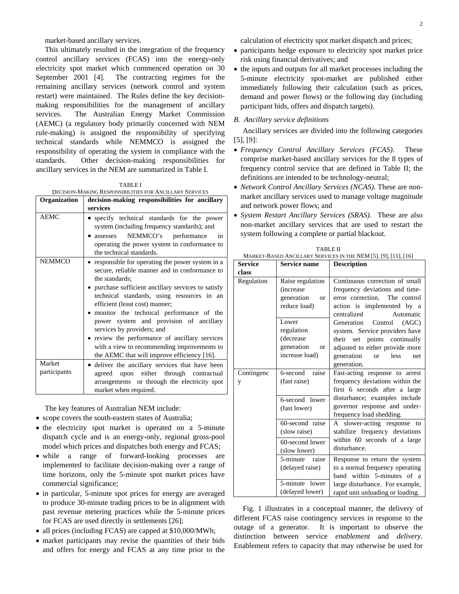market-based ancillary services.

This ultimately resulted in the integration of the frequency control ancillary services (FCAS) into the energy-only electricity spot market which commenced operation on 30 September 2001 [4]. The contracting regimes for the remaining ancillary services (network control and system restart) were maintained. The Rules define the key decisionmaking responsibilities for the management of ancillary services. The Australian Energy Market Commission (AEMC) (a regulatory body primarily concerned with NEM rule-making) is assigned the responsibility of specifying technical standards while NEMMCO is assigned the responsibility of operating the system in compliance with the standards. Other decision-making responsibilities for ancillary services in the NEM are summarized in Table I.

| <b>DECISION-MAKING RESPONSIBILITIES FOR ANCILLARY SERVICES</b> |  |
|----------------------------------------------------------------|--|
|                                                                |  |

| Organization           | decision-making responsibilities for ancillary<br>services                                                                                                                                                                                                                                                                                                                                                                                                                                                                         |  |  |
|------------------------|------------------------------------------------------------------------------------------------------------------------------------------------------------------------------------------------------------------------------------------------------------------------------------------------------------------------------------------------------------------------------------------------------------------------------------------------------------------------------------------------------------------------------------|--|--|
| <b>AEMC</b>            | • specify technical standards for the power<br>system (including frequency standards); and<br>NEMMCO's performance in<br>$\bullet$ assesses<br>operating the power system in conformance to<br>the technical standards.                                                                                                                                                                                                                                                                                                            |  |  |
| <b>NEMMCO</b>          | • responsible for operating the power system in a<br>secure, reliable manner and in conformance to<br>the standards;<br>• purchase sufficient ancillary services to satisfy<br>technical standards, using resources in an<br>efficient (least cost) manner;<br>• monitor the technical performance of the<br>power system and provision of ancillary<br>services by providers; and<br>• review the performance of ancillary services<br>with a view to recommending improvements to<br>the AEMC that will improve efficiency [16]. |  |  |
| Market<br>participants | • deliver the ancillary services that have been<br>agreed upon either through contractual<br>arrangements or through the electricity spot<br>market when required.                                                                                                                                                                                                                                                                                                                                                                 |  |  |

The key features of Australian NEM include:

• scope covers the south-eastern states of Australia;

- the electricity spot market is operated on a 5-minute dispatch cycle and is an energy-only, regional gross-pool model which prices and dispatches both energy and FCAS;
- while a range of forward-looking processes are implemented to facilitate decision-making over a range of time horizons, only the 5-minute spot market prices have commercial significance;
- in particular, 5-minute spot prices for energy are averaged to produce 30-minute trading prices to be in alignment with past revenue metering practices while the 5-minute prices for FCAS are used directly in settlements [26];
- all prices (including FCAS) are capped at \$10,000/MWh;
- market participants may revise the quantities of their bids and offers for energy and FCAS at any time prior to the

calculation of electricity spot market dispatch and prices;

- participants hedge exposure to electricity spot market price risk using financial derivatives; and
- the inputs and outputs for all market processes including the 5-minute electricity spot-market are published either immediately following their calculation (such as prices, demand and power flows) or the following day (including participant bids, offers and dispatch targets).

# *B. Ancillary service definitions*

Ancillary services are divided into the following categories [5], [9]:

- *Frequency Control Ancillary Services (FCAS)*. These comprise market-based ancillary services for the 8 types of frequency control service that are defined in Table II; the definitions are intended to be technology-neutral;
- *Network Control Ancillary Services (NCAS)*. These are nonmarket ancillary services used to manage voltage magnitude and network power flows; and
- *System Restart Ancillary Services (SRAS)*. These are also non-market ancillary services that are used to restart the system following a complete or partial blackout.

| MARKET-BASED ANCILLARY SERVICES IN THE NEM [5], [9], [11], [16] |                             |                                       |  |  |
|-----------------------------------------------------------------|-----------------------------|---------------------------------------|--|--|
| <b>Service</b>                                                  | <b>Service name</b>         | <b>Description</b>                    |  |  |
| class                                                           |                             |                                       |  |  |
| Regulation                                                      | Raise regulation            | Continuous correction of small        |  |  |
|                                                                 | <i>(increase)</i>           | frequency deviations and time-        |  |  |
|                                                                 | generation<br><sub>or</sub> | error correction.<br>The control      |  |  |
|                                                                 | reduce load)                | action is implemented by a            |  |  |
|                                                                 |                             | centralized<br>Automatic              |  |  |
|                                                                 | Lower                       | Generation<br>Control<br>(AGC)        |  |  |
|                                                                 | regulation                  | system. Service providers have        |  |  |
|                                                                 | (decrease                   | their set points continually          |  |  |
|                                                                 | generation<br><sub>or</sub> | adjusted to either provide more       |  |  |
|                                                                 | increase load)              | generation<br>less<br>$\alpha$<br>net |  |  |
|                                                                 |                             | generation.                           |  |  |
| Contingenc                                                      | raise<br>6-second           | Fast-acting response to arrest        |  |  |
| y                                                               | (fast raise)                | frequency deviations within the       |  |  |
|                                                                 |                             | first 6 seconds after a large         |  |  |
|                                                                 | 6-second lower              | disturbance; examples include         |  |  |
|                                                                 | (fast lower)                | governor response and under-          |  |  |
|                                                                 |                             | frequency load shedding.              |  |  |
|                                                                 | 60-second raise             | slower-acting response to<br>A        |  |  |
|                                                                 | (slow raise)                | stabilize frequency deviations        |  |  |
| 60-second lower                                                 |                             | within 60 seconds of a large          |  |  |
|                                                                 | (slow lower)                | disturbance.                          |  |  |
|                                                                 | 5-minute<br>raise           | Response to return the system         |  |  |
|                                                                 | (delayed raise)             | to a normal frequency operating       |  |  |
|                                                                 |                             | within 5-minutes of a<br>hand         |  |  |
|                                                                 | 5-minute lower              | large disturbance. For example,       |  |  |
|                                                                 | (delayed lower)             | rapid unit unloading or loading.      |  |  |

Fig. 1 illustrates in a conceptual manner, the delivery of different FCAS raise contingency services in response to the outage of a generator. It is important to observe the distinction between service *enablement* and *delivery*. Enablement refers to capacity that may otherwise be used for

2

TABLE II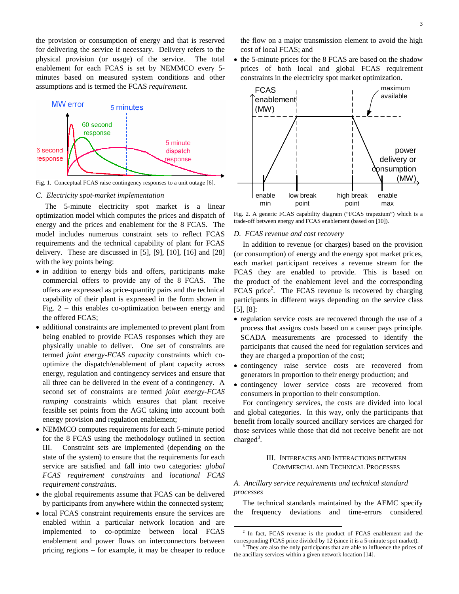the provision or consumption of energy and that is reserved for delivering the service if necessary. Delivery refers to the physical provision (or usage) of the service. The total enablement for each FCAS is set by NEMMCO every 5 minutes based on measured system conditions and other assumptions and is termed the FCAS *requirement*.



Fig. 1. Conceptual FCAS raise contingency responses to a unit outage [6].

#### *C. Electricity spot-market implementation*

The 5-minute electricity spot market is a linear optimization model which computes the prices and dispatch of energy and the prices and enablement for the 8 FCAS. The model includes numerous constraint sets to reflect FCAS requirements and the technical capability of plant for FCAS delivery. These are discussed in [5], [9], [10], [16] and [28] with the key points being:

- in addition to energy bids and offers, participants make commercial offers to provide any of the 8 FCAS. The offers are expressed as price-quantity pairs and the technical capability of their plant is expressed in the form shown in Fig. 2 – this enables co-optimization between energy and the offered FCAS;
- additional constraints are implemented to prevent plant from being enabled to provide FCAS responses which they are physically unable to deliver. One set of constraints are termed *joint energy-FCAS capacity* constraints which cooptimize the dispatch/enablement of plant capacity across energy, regulation and contingency services and ensure that all three can be delivered in the event of a contingency. A second set of constraints are termed *joint energy-FCAS ramping* constraints which ensures that plant receive feasible set points from the AGC taking into account both energy provision and regulation enablement;
- NEMMCO computes requirements for each 5-minute period for the 8 FCAS using the methodology outlined in section III. Constraint sets are implemented (depending on the state of the system) to ensure that the requirements for each service are satisfied and fall into two categories: *global FCAS requirement constraints* and *locational FCAS requirement constraints*.
- the global requirements assume that FCAS can be delivered by participants from anywhere within the connected system;
- local FCAS constraint requirements ensure the services are enabled within a particular network location and are implemented to co-optimize between local FCAS enablement and power flows on interconnectors between pricing regions – for example, it may be cheaper to reduce

the flow on a major transmission element to avoid the high cost of local FCAS; and

• the 5-minute prices for the 8 FCAS are based on the shadow prices of both local and global FCAS requirement constraints in the electricity spot market optimization.



Fig. 2. A generic FCAS capability diagram ("FCAS trapezium") which is a trade-off between energy and FCAS enablement (based on [10]).

## *D. FCAS revenue and cost recovery*

In addition to revenue (or charges) based on the provision (or consumption) of energy and the energy spot market prices, each market participant receives a revenue stream for the FCAS they are enabled to provide. This is based on the product of the enablement level and the corresponding FCAS price<sup>2</sup>. The FCAS revenue is recovered by charging participants in different ways depending on the service class [5], [8]:

- regulation service costs are recovered through the use of a process that assigns costs based on a causer pays principle. SCADA measurements are processed to identify the participants that caused the need for regulation services and they are charged a proportion of the cost;
- contingency raise service costs are recovered from generators in proportion to their energy production; and
- contingency lower service costs are recovered from consumers in proportion to their consumption.

For contingency services, the costs are divided into local and global categories. In this way, only the participants that benefit from locally sourced ancillary services are charged for those services while those that did not receive benefit are not charged<sup>3</sup>.

## III. INTERFACES AND INTERACTIONS BETWEEN COMMERCIAL AND TECHNICAL PROCESSES

# *A. Ancillary service requirements and technical standard processes*

The technical standards maintained by the AEMC specify the frequency deviations and time-errors considered

<sup>&</sup>lt;sup>2</sup> In fact, FCAS revenue is the product of FCAS enablement and the corresponding FCAS price divided by 12 (since it is a 5-minute spot market).

They are also the only participants that are able to influence the prices of the ancillary services within a given network location [14].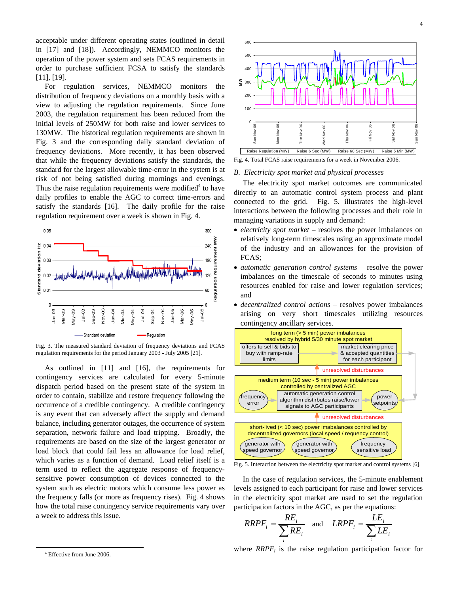acceptable under different operating states (outlined in detail in [17] and [18]). Accordingly, NEMMCO monitors the operation of the power system and sets FCAS requirements in order to purchase sufficient FCSA to satisfy the standards [11], [19].

For regulation services, NEMMCO monitors the distribution of frequency deviations on a monthly basis with a view to adjusting the regulation requirements. Since June 2003, the regulation requirement has been reduced from the initial levels of 250MW for both raise and lower services to 130MW. The historical regulation requirements are shown in Fig. 3 and the corresponding daily standard deviation of frequency deviations. More recently, it has been observed that while the frequency deviations satisfy the standards, the standard for the largest allowable time-error in the system is at risk of not being satisfied during mornings and evenings. Thus the raise regulation requirements were modified<sup>4</sup> to have daily profiles to enable the AGC to correct time-errors and satisfy the standards [16]. The daily profile for the raise regulation requirement over a week is shown in Fig. 4.



Fig. 3. The measured standard deviation of frequency deviations and FCAS regulation requirements for the period January 2003 - July 2005 [21].

As outlined in [11] and [16], the requirements for contingency services are calculated for every 5-minute dispatch period based on the present state of the system in order to contain, stabilize and restore frequency following the occurrence of a credible contingency. A credible contingency is any event that can adversely affect the supply and demand balance, including generator outages, the occurrence of system separation, network failure and load tripping. Broadly, the requirements are based on the size of the largest generator or load block that could fail less an allowance for load relief, which varies as a function of demand. Load relief itself is a term used to reflect the aggregate response of frequencysensitive power consumption of devices connected to the system such as electric motors which consume less power as the frequency falls (or more as frequency rises). Fig. 4 shows how the total raise contingency service requirements vary over a week to address this issue.





Fig. 4. Total FCAS raise requirements for a week in November 2006.

#### *B. Electricity spot market and physical processes*

The electricity spot market outcomes are communicated directly to an automatic control system process and plant connected to the grid. Fig. 5. illustrates the high-level interactions between the following processes and their role in managing variations in supply and demand:

- *electricity spot market* resolves the power imbalances on relatively long-term timescales using an approximate model of the industry and an allowances for the provision of FCAS;
- *automatic generation control systems* resolve the power imbalances on the timescale of seconds to minutes using resources enabled for raise and lower regulation services; and
- *decentralized control actions* resolves power imbalances arising on very short timescales utilizing resources contingency ancillary services.





In the case of regulation services, the 5-minute enablement levels assigned to each participant for raise and lower services in the electricity spot market are used to set the regulation participation factors in the AGC, as per the equations:

$$
RRPF_i = \frac{RE_i}{\sum_i RE_i} \quad \text{and} \quad LRPF_i = \frac{LE_i}{\sum_i LE_i}
$$

where  $RRPF<sub>i</sub>$  is the raise regulation participation factor for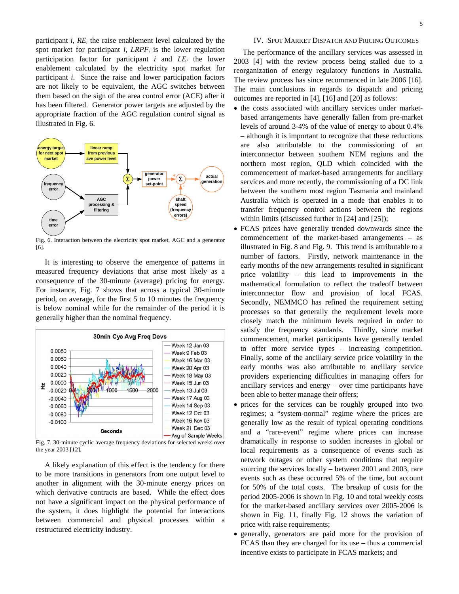participant  $i$ ,  $RE<sub>i</sub>$  the raise enablement level calculated by the spot market for participant  $i$ , *LRPF<sub>i</sub>* is the lower regulation participation factor for participant  $i$  and  $LE_i$  the lower enablement calculated by the electricity spot market for participant *i*. Since the raise and lower participation factors are not likely to be equivalent, the AGC switches between them based on the sign of the area control error (ACE) after it has been filtered. Generator power targets are adjusted by the appropriate fraction of the AGC regulation control signal as illustrated in Fig. 6.



Fig. 6. Interaction between the electricity spot market, AGC and a generator [6].

It is interesting to observe the emergence of patterns in measured frequency deviations that arise most likely as a consequence of the 30-minute (average) pricing for energy. For instance, Fig. 7 shows that across a typical 30-minute period, on average, for the first 5 to 10 minutes the frequency is below nominal while for the remainder of the period it is generally higher than the nominal frequency.



Fig. 7. 30-minute cyclic average frequency deviations for selected weeks over the year 2003 [12].

A likely explanation of this effect is the tendency for there to be more transitions in generators from one output level to another in alignment with the 30-minute energy prices on which derivative contracts are based. While the effect does not have a significant impact on the physical performance of the system, it does highlight the potential for interactions between commercial and physical processes within a restructured electricity industry.

The performance of the ancillary services was assessed in 2003 [4] with the review process being stalled due to a reorganization of energy regulatory functions in Australia. The review process has since recommenced in late 2006 [16]. The main conclusions in regards to dispatch and pricing outcomes are reported in [4], [16] and [20] as follows:

- the costs associated with ancillary services under marketbased arrangements have generally fallen from pre-market levels of around 3-4% of the value of energy to about 0.4% – although it is important to recognize that these reductions are also attributable to the commissioning of an interconnector between southern NEM regions and the northern most region, QLD which coincided with the commencement of market-based arrangements for ancillary services and more recently, the commissioning of a DC link between the southern most region Tasmania and mainland Australia which is operated in a mode that enables it to transfer frequency control actions between the regions within limits (discussed further in [24] and [25]);
- FCAS prices have generally trended downwards since the commencement of the market-based arrangements – as illustrated in Fig. 8 and Fig. 9. This trend is attributable to a number of factors. Firstly, network maintenance in the early months of the new arrangements resulted in significant price volatility – this lead to improvements in the mathematical formulation to reflect the tradeoff between interconnector flow and provision of local FCAS. Secondly, NEMMCO has refined the requirement setting processes so that generally the requirement levels more closely match the minimum levels required in order to satisfy the frequency standards. Thirdly, since market commencement, market participants have generally tended to offer more service types – increasing competition. Finally, some of the ancillary service price volatility in the early months was also attributable to ancillary service providers experiencing difficulties in managing offers for ancillary services and energy – over time participants have been able to better manage their offers;
- prices for the services can be roughly grouped into two regimes; a "system-normal" regime where the prices are generally low as the result of typical operating conditions and a "rare-event" regime where prices can increase dramatically in response to sudden increases in global or local requirements as a consequence of events such as network outages or other system conditions that require sourcing the services locally – between 2001 and 2003, rare events such as these occurred 5% of the time, but account for 50% of the total costs. The breakup of costs for the period 2005-2006 is shown in Fig. 10 and total weekly costs for the market-based ancillary services over 2005-2006 is shown in Fig. 11, finally Fig. 12 shows the variation of price with raise requirements;
- generally, generators are paid more for the provision of FCAS than they are charged for its use – thus a commercial incentive exists to participate in FCAS markets; and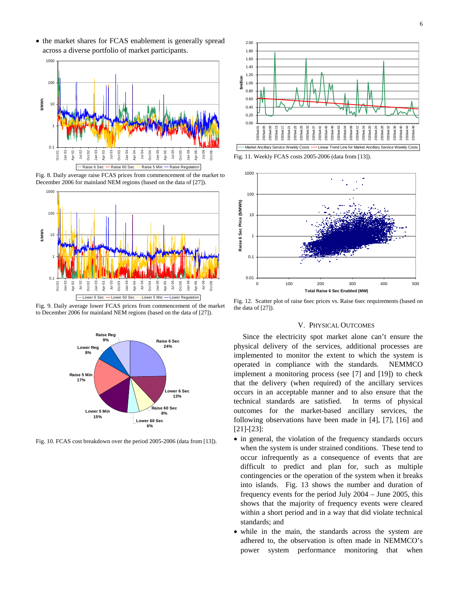

• the market shares for FCAS enablement is generally spread across a diverse portfolio of market participants.

Fig. 8. Daily average raise FCAS prices from commencement of the market to December 2006 for mainland NEM regions (based on the data of [27]).



Fig. 9. Daily average lower FCAS prices from commencement of the market to December 2006 for mainland NEM regions (based on the data of [27]).



Fig. 10. FCAS cost breakdown over the period 2005-2006 (data from [13]).



Fig. 11. Weekly FCAS costs 2005-2006 (data from [13]).



Fig. 12. Scatter plot of raise 6sec prices vs. Raise 6sec requirements (based on the data of [27]).

#### V. PHYSICAL OUTCOMES

Since the electricity spot market alone can't ensure the physical delivery of the services, additional processes are implemented to monitor the extent to which the system is operated in compliance with the standards. NEMMCO implement a monitoring process (see [7] and [19]) to check that the delivery (when required) of the ancillary services occurs in an acceptable manner and to also ensure that the technical standards are satisfied. In terms of physical outcomes for the market-based ancillary services, the following observations have been made in [4], [7], [16] and [21]-[23]:

- in general, the violation of the frequency standards occurs when the system is under strained conditions. These tend to occur infrequently as a consequence of events that are difficult to predict and plan for, such as multiple contingencies or the operation of the system when it breaks into islands. Fig. 13 shows the number and duration of frequency events for the period July 2004 – June 2005, this shows that the majority of frequency events were cleared within a short period and in a way that did violate technical standards; and
- while in the main, the standards across the system are adhered to, the observation is often made in NEMMCO's power system performance monitoring that when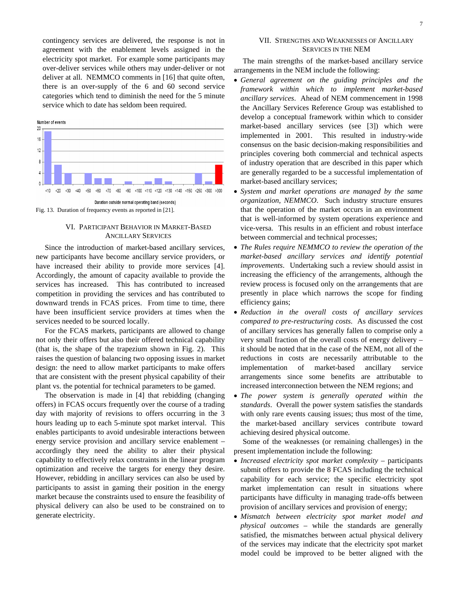contingency services are delivered, the response is not in agreement with the enablement levels assigned in the electricity spot market. For example some participants may over-deliver services while others may under-deliver or not deliver at all. NEMMCO comments in [16] that quite often, there is an over-supply of the 6 and 60 second service categories which tend to diminish the need for the 5 minute service which to date has seldom been required.



#### Fig. 13. Duration of frequency events as reported in [21].

## VI. PARTICIPANT BEHAVIOR IN MARKET-BASED ANCILLARY SERVICES

Since the introduction of market-based ancillary services, new participants have become ancillary service providers, or have increased their ability to provide more services [4]. Accordingly, the amount of capacity available to provide the services has increased. This has contributed to increased competition in providing the services and has contributed to downward trends in FCAS prices. From time to time, there have been insufficient service providers at times when the services needed to be sourced locally.

For the FCAS markets, participants are allowed to change not only their offers but also their offered technical capability (that is, the shape of the trapezium shown in Fig. 2). This raises the question of balancing two opposing issues in market design: the need to allow market participants to make offers that are consistent with the present physical capability of their plant vs. the potential for technical parameters to be gamed.

The observation is made in [4] that rebidding (changing offers) in FCAS occurs frequently over the course of a trading day with majority of revisions to offers occurring in the 3 hours leading up to each 5-minute spot market interval. This enables participants to avoid undesirable interactions between energy service provision and ancillary service enablement – accordingly they need the ability to alter their physical capability to effectively relax constraints in the linear program optimization and receive the targets for energy they desire. However, rebidding in ancillary services can also be used by participants to assist in gaming their position in the energy market because the constraints used to ensure the feasibility of physical delivery can also be used to be constrained on to generate electricity.

## VII. STRENGTHS AND WEAKNESSES OF ANCILLARY SERVICES IN THE NEM

The main strengths of the market-based ancillary service arrangements in the NEM include the following:

- *General agreement on the guiding principles and the framework within which to implement market-based ancillary services*. Ahead of NEM commencement in 1998 the Ancillary Services Reference Group was established to develop a conceptual framework within which to consider market-based ancillary services (see [3]) which were implemented in 2001. This resulted in industry-wide consensus on the basic decision-making responsibilities and principles covering both commercial and technical aspects of industry operation that are described in this paper which are generally regarded to be a successful implementation of market-based ancillary services;
- *System and market operations are managed by the same organization, NEMMCO*. Such industry structure ensures that the operation of the market occurs in an environment that is well-informed by system operations experience and vice-versa. This results in an efficient and robust interface between commercial and technical processes;
- *The Rules require NEMMCO to review the operation of the market-based ancillary services and identify potential improvements*. Undertaking such a review should assist in increasing the efficiency of the arrangements, although the review process is focused only on the arrangements that are presently in place which narrows the scope for finding efficiency gains;
- *Reduction in the overall costs of ancillary services compared to pre-restructuring costs*. As discussed the cost of ancillary services has generally fallen to comprise only a very small fraction of the overall costs of energy delivery – it should be noted that in the case of the NEM, not all of the reductions in costs are necessarily attributable to the implementation of market-based ancillary service arrangements since some benefits are attributable to increased interconnection between the NEM regions; and
- *The power system is generally operated within the standards*. Overall the power system satisfies the standards with only rare events causing issues; thus most of the time, the market-based ancillary services contribute toward achieving desired physical outcome.

Some of the weaknesses (or remaining challenges) in the present implementation include the following:

- *Increased electricity spot market complexity* participants submit offers to provide the 8 FCAS including the technical capability for each service; the specific electricity spot market implementation can result in situations where participants have difficulty in managing trade-offs between provision of ancillary services and provision of energy;
- *Mismatch between electricity spot market model and physical outcomes* – while the standards are generally satisfied, the mismatches between actual physical delivery of the services may indicate that the electricity spot market model could be improved to be better aligned with the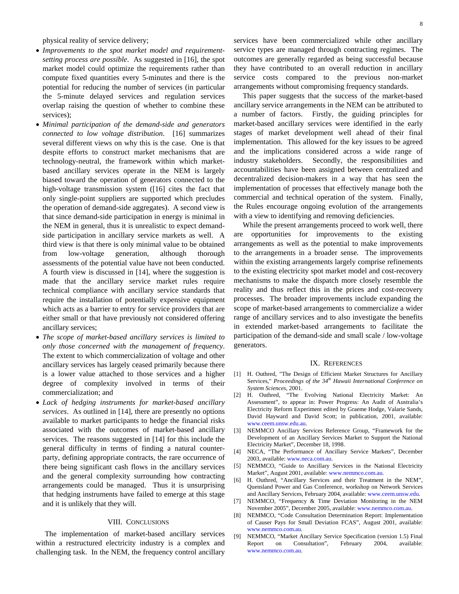physical reality of service delivery;

- *Improvements to the spot market model and requirementsetting process are possible*. As suggested in [16], the spot market model could optimize the requirements rather than compute fixed quantities every 5-minutes and there is the potential for reducing the number of services (in particular the 5-minute delayed services and regulation services overlap raising the question of whether to combine these services);
- *Minimal participation of the demand-side and generators connected to low voltage distribution*. [16] summarizes several different views on why this is the case. One is that despite efforts to construct market mechanisms that are technology-neutral, the framework within which marketbased ancillary services operate in the NEM is largely biased toward the operation of generators connected to the high-voltage transmission system ([16] cites the fact that only single-point suppliers are supported which precludes the operation of demand-side aggregates). A second view is that since demand-side participation in energy is minimal in the NEM in general, thus it is unrealistic to expect demandside participation in ancillary service markets as well. A third view is that there is only minimal value to be obtained from low-voltage generation, although thorough assessments of the potential value have not been conducted. A fourth view is discussed in [14], where the suggestion is made that the ancillary service market rules require technical compliance with ancillary service standards that require the installation of potentially expensive equipment which acts as a barrier to entry for service providers that are either small or that have previously not considered offering ancillary services;
- *The scope of market-based ancillary services is limited to only those concerned with the management of frequency*. The extent to which commercialization of voltage and other ancillary services has largely ceased primarily because there is a lower value attached to those services and a higher degree of complexity involved in terms of their commercialization; and
- *Lack of hedging instruments for market-based ancillary services*. As outlined in [14], there are presently no options available to market participants to hedge the financial risks associated with the outcomes of market-based ancillary services. The reasons suggested in [14] for this include the general difficulty in terms of finding a natural counterparty, defining appropriate contracts, the rare occurrence of there being significant cash flows in the ancillary services and the general complexity surrounding how contracting arrangements could be managed. Thus it is unsurprising that hedging instruments have failed to emerge at this stage and it is unlikely that they will.

## VIII. CONCLUSIONS

The implementation of market-based ancillary services within a restructured electricity industry is a complex and challenging task. In the NEM, the frequency control ancillary services have been commercialized while other ancillary service types are managed through contracting regimes. The outcomes are generally regarded as being successful because they have contributed to an overall reduction in ancillary service costs compared to the previous non-market arrangements without compromising frequency standards.

This paper suggests that the success of the market-based ancillary service arrangements in the NEM can be attributed to a number of factors. Firstly, the guiding principles for market-based ancillary services were identified in the early stages of market development well ahead of their final implementation. This allowed for the key issues to be agreed and the implications considered across a wide range of industry stakeholders. Secondly, the responsibilities and accountabilities have been assigned between centralized and decentralized decision-makers in a way that has seen the implementation of processes that effectively manage both the commercial and technical operation of the system. Finally, the Rules encourage ongoing evolution of the arrangements with a view to identifying and removing deficiencies.

While the present arrangements proceed to work well, there are opportunities for improvements to the existing arrangements as well as the potential to make improvements to the arrangements in a broader sense. The improvements within the existing arrangements largely comprise refinements to the existing electricity spot market model and cost-recovery mechanisms to make the dispatch more closely resemble the reality and thus reflect this in the prices and cost-recovery processes. The broader improvements include expanding the scope of market-based arrangements to commercialize a wider range of ancillary services and to also investigate the benefits in extended market-based arrangements to facilitate the participation of the demand-side and small scale / low-voltage generators.

#### IX. REFERENCES

- [1] H. Outhred, "The Design of Efficient Market Structures for Ancillary Services," *Proceedings of the 34th Hawaii International Conference on System Sciences,* 2001.
- [2] H. Outhred, "The Evolving National Electricity Market: An Assessment", to appear in: Power Progress: An Audit of Australia's Electricity Reform Experiment edited by Graeme Hodge, Valarie Sands, David Hayward and David Scott; in publication, 2001, available: www.ceem.unsw.edu.au.
- [3] NEMMCO Ancillary Services Reference Group, "Framework for the Development of an Ancillary Services Market to Support the National Electricity Market", December 18, 1998.
- [4] NECA, "The Performance of Ancillary Service Markets", December 2003, available: www.neca.com.au.
- [5] NEMMCO, "Guide to Ancillary Services in the National Electricity Market", August 2001, available: www.nemmco.com.au.
- [6] H. Outhred, "Ancillary Services and their Treatment in the NEM", Quensland Power and Gas Conference, workshop on Network Services and Ancillary Services, February 2004, available: www.ceem.unsw.edu.
- [7] NEMMCO, "Frequency & Time Deviation Monitoring in the NEM November 2005", December 2005, available: www.nemmco.com.au.
- [8] NEMMCO, "Code Consultation Determination Report: Implementation of Causer Pays for Small Deviation FCAS", August 2001, available: www.nemmco.com.au.
- [9] NEMMCO, "Market Ancillary Service Specification (version 1.5) Final Report on Consultation", February 2004, available: www.nemmco.com.au.